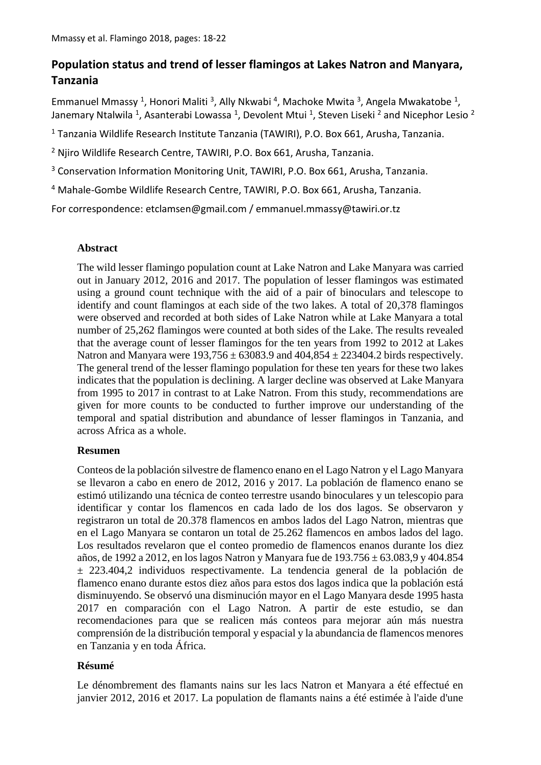# **Population status and trend of lesser flamingos at Lakes Natron and Manyara, Tanzania**

Emmanuel Mmassy<sup>1</sup>, Honori Maliti<sup>3</sup>, Ally Nkwabi<sup>4</sup>, Machoke Mwita<sup>3</sup>, Angela Mwakatobe<sup>1</sup>, Janemary Ntalwila <sup>1</sup>, Asanterabi Lowassa <sup>1</sup>, Devolent Mtui <sup>1</sup>, Steven Liseki <sup>2</sup> and Nicephor Lesio <sup>2</sup>

<sup>1</sup> Tanzania Wildlife Research Institute Tanzania (TAWIRI), P.O. Box 661, Arusha, Tanzania.

<sup>2</sup> Njiro Wildlife Research Centre, TAWIRI, P.O. Box 661, Arusha, Tanzania.

<sup>3</sup> Conservation Information Monitoring Unit, TAWIRI, P.O. Box 661, Arusha, Tanzania.

<sup>4</sup> Mahale-Gombe Wildlife Research Centre, TAWIRI, P.O. Box 661, Arusha, Tanzania.

For correspondence: etclamsen@gmail.com / emmanuel.mmassy@tawiri.or.tz

## **Abstract**

The wild lesser flamingo population count at Lake Natron and Lake Manyara was carried out in January 2012, 2016 and 2017. The population of lesser flamingos was estimated using a ground count technique with the aid of a pair of binoculars and telescope to identify and count flamingos at each side of the two lakes. A total of 20,378 flamingos were observed and recorded at both sides of Lake Natron while at Lake Manyara a total number of 25,262 flamingos were counted at both sides of the Lake. The results revealed that the average count of lesser flamingos for the ten years from 1992 to 2012 at Lakes Natron and Manyara were  $193,756 \pm 63083.9$  and  $404,854 \pm 223404.2$  birds respectively. The general trend of the lesser flamingo population for these ten years for these two lakes indicates that the population is declining. A larger decline was observed at Lake Manyara from 1995 to 2017 in contrast to at Lake Natron. From this study, recommendations are given for more counts to be conducted to further improve our understanding of the temporal and spatial distribution and abundance of lesser flamingos in Tanzania, and across Africa as a whole.

## **Resumen**

Conteos de la población silvestre de flamenco enano en el Lago Natron y el Lago Manyara se llevaron a cabo en enero de 2012, 2016 y 2017. La población de flamenco enano se estimó utilizando una técnica de conteo terrestre usando binoculares y un telescopio para identificar y contar los flamencos en cada lado de los dos lagos. Se observaron y registraron un total de 20.378 flamencos en ambos lados del Lago Natron, mientras que en el Lago Manyara se contaron un total de 25.262 flamencos en ambos lados del lago. Los resultados revelaron que el conteo promedio de flamencos enanos durante los diez años, de 1992 a 2012, en los lagos Natron y Manyara fue de 193.756 ± 63.083,9 y 404.854 ± 223.404,2 individuos respectivamente. La tendencia general de la población de flamenco enano durante estos diez años para estos dos lagos indica que la población está disminuyendo. Se observó una disminución mayor en el Lago Manyara desde 1995 hasta 2017 en comparación con el Lago Natron. A partir de este estudio, se dan recomendaciones para que se realicen más conteos para mejorar aún más nuestra comprensión de la distribución temporal y espacial y la abundancia de flamencos menores en Tanzania y en toda África.

## **Résumé**

Le dénombrement des flamants nains sur les lacs Natron et Manyara a été effectué en janvier 2012, 2016 et 2017. La population de flamants nains a été estimée à l'aide d'une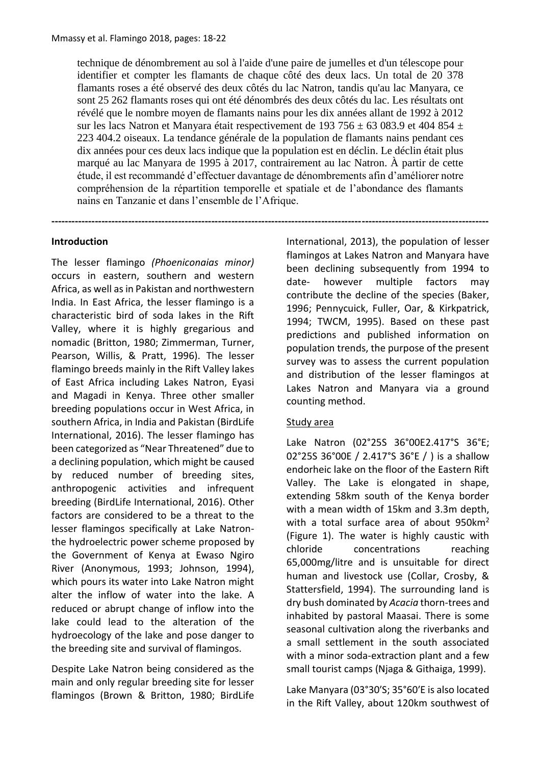technique de dénombrement au sol à l'aide d'une paire de jumelles et d'un télescope pour identifier et compter les flamants de chaque côté des deux lacs. Un total de 20 378 flamants roses a été observé des deux côtés du lac Natron, tandis qu'au lac Manyara, ce sont 25 262 flamants roses qui ont été dénombrés des deux côtés du lac. Les résultats ont révélé que le nombre moyen de flamants nains pour les dix années allant de 1992 à 2012 sur les lacs Natron et Manyara était respectivement de 193 756  $\pm$  63 083.9 et 404 854  $\pm$ 223 404.2 oiseaux. La tendance générale de la population de flamants nains pendant ces dix années pour ces deux lacs indique que la population est en déclin. Le déclin était plus marqué au lac Manyara de 1995 à 2017, contrairement au lac Natron. À partir de cette étude, il est recommandé d'effectuer davantage de dénombrements afin d'améliorer notre compréhension de la répartition temporelle et spatiale et de l'abondance des flamants nains en Tanzanie et dans l'ensemble de l'Afrique.

**-----------------------------------------------------------------------------------------------------------------------------------**

### **Introduction**

The lesser flamingo *(Phoeniconaias minor)*  occurs in eastern, southern and western Africa, as well as in Pakistan and northwestern India. In East Africa, the lesser flamingo is a characteristic bird of soda lakes in the Rift Valley, where it is highly gregarious and nomadic (Britton, 1980; Zimmerman, Turner, Pearson, Willis, & Pratt, 1996). The lesser flamingo breeds mainly in the Rift Valley lakes of East Africa including Lakes Natron, Eyasi and Magadi in Kenya. Three other smaller breeding populations occur in West Africa, in southern Africa, in India and Pakistan (BirdLife International, 2016). The lesser flamingo has been categorized as "Near Threatened" due to a declining population, which might be caused by reduced number of breeding sites, anthropogenic activities and infrequent breeding (BirdLife International, 2016). Other factors are considered to be a threat to the lesser flamingos specifically at Lake Natronthe hydroelectric power scheme proposed by the Government of Kenya at Ewaso Ngiro River (Anonymous, 1993; Johnson, 1994), which pours its water into Lake Natron might alter the inflow of water into the lake. A reduced or abrupt change of inflow into the lake could lead to the alteration of the hydroecology of the lake and pose danger to the breeding site and survival of flamingos.

Despite Lake Natron being considered as the main and only regular breeding site for lesser flamingos (Brown & Britton, 1980; BirdLife International, 2013), the population of lesser flamingos at Lakes Natron and Manyara have been declining subsequently from 1994 to date- however multiple factors may contribute the decline of the species (Baker, 1996; Pennycuick, Fuller, Oar, & Kirkpatrick, 1994; TWCM, 1995). Based on these past predictions and published information on population trends, the purpose of the present survey was to assess the current population and distribution of the lesser flamingos at Lakes Natron and Manyara via a ground counting method.

#### Study area

Lake Natron (02°25S 36°00E2.417°S 36°E; 02°25S 36°00E / 2.417°S 36°E / ) is a shallow endorheic lake on the floor of the Eastern Rift Valley. The Lake is elongated in shape, extending 58km south of the Kenya border with a mean width of 15km and 3.3m depth, with a total surface area of about 950km<sup>2</sup> (Figure 1). The water is highly caustic with chloride concentrations reaching 65,000mg/litre and is unsuitable for direct human and livestock use (Collar, Crosby, & Stattersfield, 1994). The surrounding land is dry bush dominated by *Acacia* thorn-trees and inhabited by pastoral Maasai. There is some seasonal cultivation along the riverbanks and a small settlement in the south associated with a minor soda-extraction plant and a few small tourist camps (Njaga & Githaiga, 1999).

Lake Manyara (03°30′S; 35°60′E is also located in the Rift Valley, about 120km southwest of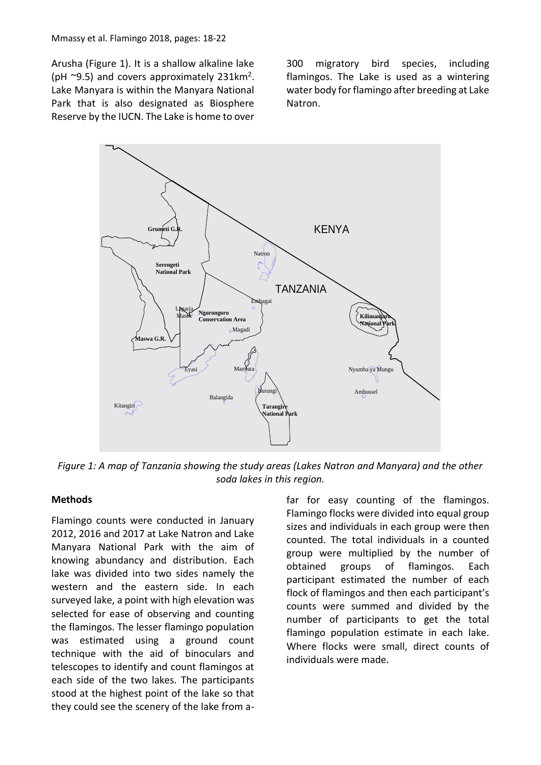Arusha (Figure 1). It is a shallow alkaline lake (pH ~9.5) and covers approximately 231km<sup>2</sup>. Lake Manyara is within the Manyara National Park that is also designated as Biosphere Reserve by the IUCN. The Lake is home to over 300 migratory bird species, including flamingos. The Lake is used as a wintering water body for flamingo after breeding at Lake Natron.



*Figure 1: A map of Tanzania showing the study areas (Lakes Natron and Manyara) and the other soda lakes in this region.*

#### **Methods**

Flamingo counts were conducted in January 2012, 2016 and 2017 at Lake Natron and Lake Manyara National Park with the aim of knowing abundancy and distribution. Each lake was divided into two sides namely the western and the eastern side. In each surveyed lake, a point with high elevation was selected for ease of observing and counting the flamingos. The lesser flamingo population was estimated using a ground count technique with the aid of binoculars and telescopes to identify and count flamingos at each side of the two lakes. The participants stood at the highest point of the lake so that they could see the scenery of the lake from afar for easy counting of the flamingos. Flamingo flocks were divided into equal group sizes and individuals in each group were then counted. The total individuals in a counted group were multiplied by the number of obtained groups of flamingos. Each participant estimated the number of each flock of flamingos and then each participant's counts were summed and divided by the number of participants to get the total flamingo population estimate in each lake. Where flocks were small, direct counts of individuals were made.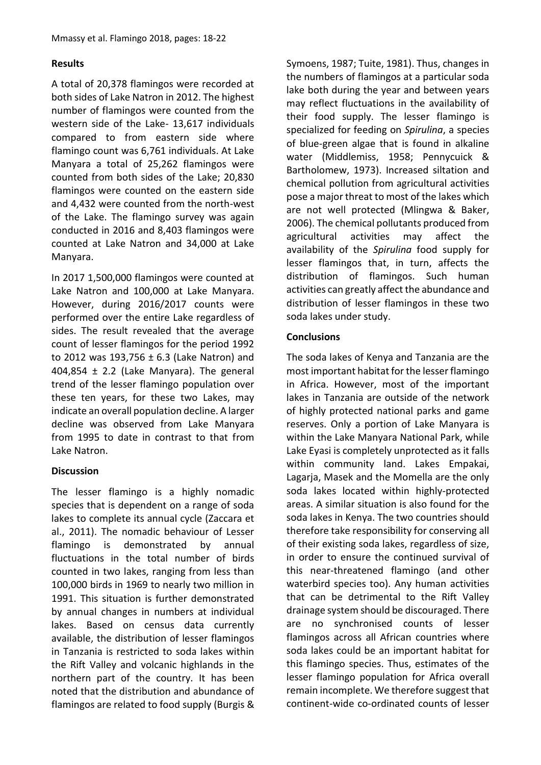# **Results**

A total of 20,378 flamingos were recorded at both sides of Lake Natron in 2012. The highest number of flamingos were counted from the western side of the Lake- 13,617 individuals compared to from eastern side where flamingo count was 6,761 individuals. At Lake Manyara a total of 25,262 flamingos were counted from both sides of the Lake; 20,830 flamingos were counted on the eastern side and 4,432 were counted from the north-west of the Lake. The flamingo survey was again conducted in 2016 and 8,403 flamingos were counted at Lake Natron and 34,000 at Lake Manyara.

In 2017 1,500,000 flamingos were counted at Lake Natron and 100,000 at Lake Manyara. However, during 2016/2017 counts were performed over the entire Lake regardless of sides. The result revealed that the average count of lesser flamingos for the period 1992 to 2012 was 193,756  $\pm$  6.3 (Lake Natron) and 404,854  $\pm$  2.2 (Lake Manyara). The general trend of the lesser flamingo population over these ten years, for these two Lakes, may indicate an overall population decline. A larger decline was observed from Lake Manyara from 1995 to date in contrast to that from Lake Natron.

## **Discussion**

The lesser flamingo is a highly nomadic species that is dependent on a range of soda lakes to complete its annual cycle (Zaccara et al., 2011). The nomadic behaviour of Lesser flamingo is demonstrated by annual fluctuations in the total number of birds counted in two lakes, ranging from less than 100,000 birds in 1969 to nearly two million in 1991. This situation is further demonstrated by annual changes in numbers at individual lakes. Based on census data currently available, the distribution of lesser flamingos in Tanzania is restricted to soda lakes within the Rift Valley and volcanic highlands in the northern part of the country. It has been noted that the distribution and abundance of flamingos are related to food supply (Burgis &

Symoens, 1987; Tuite, 1981). Thus, changes in the numbers of flamingos at a particular soda lake both during the year and between years may reflect fluctuations in the availability of their food supply. The lesser flamingo is specialized for feeding on *Spirulina*, a species of blue-green algae that is found in alkaline water (Middlemiss, 1958; Pennycuick & Bartholomew, 1973). Increased siltation and chemical pollution from agricultural activities pose a major threat to most of the lakes which are not well protected (Mlingwa & Baker, 2006). The chemical pollutants produced from agricultural activities may affect the availability of the *Spirulina* food supply for lesser flamingos that, in turn, affects the distribution of flamingos. Such human activities can greatly affect the abundance and distribution of lesser flamingos in these two soda lakes under study.

# **Conclusions**

The soda lakes of Kenya and Tanzania are the most important habitat for the lesser flamingo in Africa. However, most of the important lakes in Tanzania are outside of the network of highly protected national parks and game reserves. Only a portion of Lake Manyara is within the Lake Manyara National Park, while Lake Eyasi is completely unprotected as it falls within community land. Lakes Empakai, Lagarja, Masek and the Momella are the only soda lakes located within highly-protected areas. A similar situation is also found for the soda lakes in Kenya. The two countries should therefore take responsibility for conserving all of their existing soda lakes, regardless of size, in order to ensure the continued survival of this near-threatened flamingo (and other waterbird species too). Any human activities that can be detrimental to the Rift Valley drainage system should be discouraged. There are no synchronised counts of lesser flamingos across all African countries where soda lakes could be an important habitat for this flamingo species. Thus, estimates of the lesser flamingo population for Africa overall remain incomplete. We therefore suggest that continent-wide co-ordinated counts of lesser